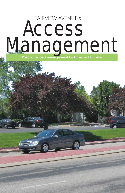## Access Management FAIRVIEW AVENUE & What will access management look like on Fairview?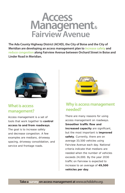## **Management Fairview Avenue Access**

**The Ada County Highway District (ACHD), the City of Boise and the City of Meridian are developing an access management plan to increase safety and reduce congestion along Fairview Avenue between Orchard Street in Boise and Linder Road in Meridian.** 



#### **What is access management?**

Access management is a set of tools that work together to **control access to and from roadways**. The goal is to increase safety and decrease congestion. A few examples are medians, driveway spacing, driveway consolidation, and service and frontage roads.



#### **Why is access management needed?**

There are many reasons for using access management on roadways. **Smoother traffic flow and increased capacity** are significant, but the most important is **improved safety**. Currently, there are on average 33,500 vehicles using Fairview Avenue each day. National criteria indicate that medians are needed when the number of vehicles exceeds 24,000. By the year 2030 traffic on Fairview is expected to increase to an average of **49,500 vehicles per day**.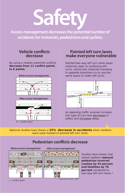# **Safety**

**Access management decreases the potential number of accidents for motorists, pedestrians and cyclists.**

#### **Vehicle conflicts decrease**

**By using a median potential conflicts** decrease from 11 conflict points **to 6 points.**



#### **Painted left turn lanes make everyone vulnerable**

Painted two-way left turn lanes leave motorists open to conflicting left turns, where two motorists traveling in opposite directions try to use the same space to make left turns.



As opposing traffic volumes increase this type of turn lane decreases in safety and increases delay.

National studies have shown a **25% decrease in accidents** when medians were used instead of painted left turn lanes.

### **Pedestrian conflicts decrease**

#### **Before access management After access management**





*Studies have shown that raised medians* **reduced pedestrian involved crashes by 45 percent and fatalities by 78 percent** *compared to two-way left turn lanes.\**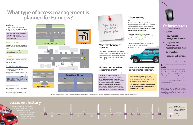

We want to hear from everyone who uses Fairview Avenue. Whether you live in a neighborhood near Fairview, own a business along the corridor or just use Fairview to shop or commute, **your opinion on access management is important**.

**Take our online survey at** *www. achdidaho.org* **and let us know what you think. The survey will be available until November 1, 2010.**

To request a paper survey, please contact ACHD at *projects@achdidaho.org* or 208-387-6100.



### **Take our survey**

If you would like to meet with the project manager to discuss Fairview Avenue and access management please contact Lisa Applebee, ACHD Project Manager at 208-387-6239 or *projects@achdidaho.org.*

#### $\bigstar$ **credits**

#### **Meet with the project manager**

# **What type of access management is planned for Fairview?**

## **Online resources**

- **Survey**
- **Fairview access management time line**
- **Long-term\*\* draft Fairview access management plan maps**
- **3D simulation**
- **Resources for businesses**

\*\*20+ years in the future

The traffic on Fairview Avenue is anticipated to increase to an average of **49,500** vehicles per day by 2030. Without access management this number of vehicles is expected to **increase congestion and delay, as well as the rate of accidents**. Lack of access management will also make it difficult for customers to get in and out of businesses.

*To arrange for a translator or other accommodation, contact ACHD at (208) 387-6100. | Se les recomienda a las personas que necesiten un inté rprete o arreglos especiales que llamen a la coordinadora de participació n pú blica, al (208) 387-6100.*



Much of the information and statistics used in this brochure were obtained from the Federal Highway Administration's (FHWA) Benefits of Access Management brochure. For more information about access management and to view the FHWA brochure, please log onto www. accessmanagement.info.

#### **When will access management be implemented on Fairview?**



#### **What could happen without access management?**

Medians will be installed on Fairview Avenue between Orchard Street and Linder Road as needed for safety and as adjacent properties redevelop.

**The remaining sections not improved by redevelopment are scheduled for construction by 2014.**

Please note that this list of access management options is not all inclusive. Please log onto www.achdidaho.org to view more examples.

#### **U-turns**

Allowed at various locations, including signalized intersections and certain midblock access locations.

#### **Medians**

All of the access management techniques on this page compliment well placed medians.

The 2006 installation of medians on Eagle Road north of I-84 showed a **35% decrease** in midblock accidents.

#### **Right in/right out**

Only right turns are allowed into and out of driveways.

Located near signalized intersections or adjacent to median strip.

#### **Mid-block access**

A break in the median used by motorists to make left turns and U-turns from the street.

On average, exclusive left-turn lanes **reduce accidents by 50%**.\*

#### **Consolidated driveways**

Properties share access by merging adjacent driveways.

Would most likely happen when adjacent properties redevelop.

Fairview has approximately **60 driveways** per mile. For safety and ease of access it is ideal to have **10 or fewer driveways** per mile.



## **Accident history**

iirview Avenue has a higher

*www.achdidaho.org*